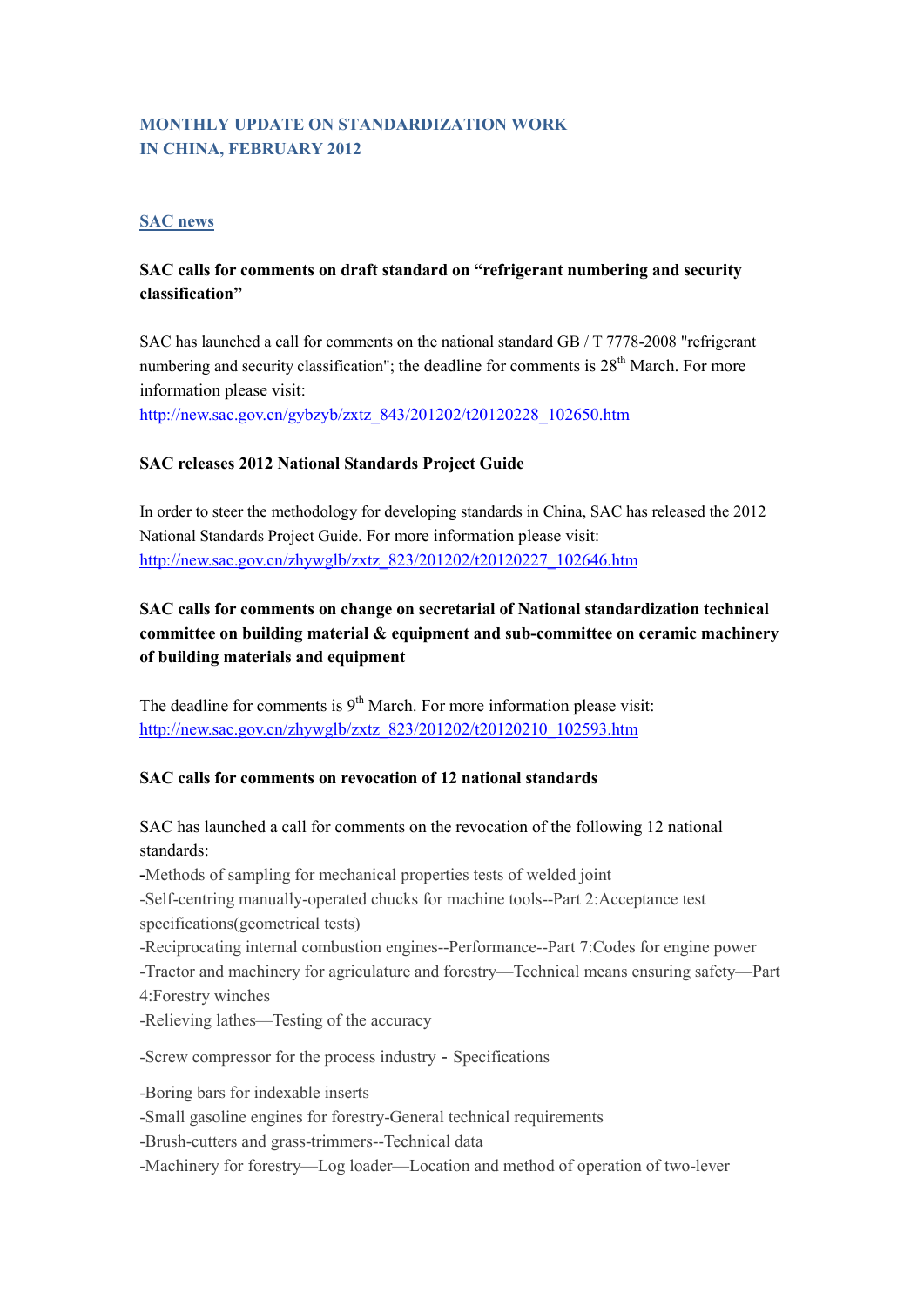# **MONTHLY UPDATE ON STANDARDIZATION WORK IN CHINA, FEBRUARY 2012**

#### **SAC news**

## **SAC calls for comments on draft standard on "refrigerant numbering and security classification"**

SAC has launched a call for comments on the national standard GB / T 7778-2008 "refrigerant numbering and security classification"; the deadline for comments is  $28<sup>th</sup>$  March. For more information please visit:

[http://new.sac.gov.cn/gybzyb/zxtz\\_843/201202/t20120228\\_102650.htm](http://new.sac.gov.cn/gybzyb/zxtz_843/201202/t20120228_102650.htm)

### **SAC releases 2012 National Standards Project Guide**

In order to steer the methodology for developing standards in China, SAC has released the 2012 National Standards Project Guide. For more information please visit: [http://new.sac.gov.cn/zhywglb/zxtz\\_823/201202/t20120227\\_102646.htm](http://new.sac.gov.cn/zhywglb/zxtz_823/201202/t20120227_102646.htm)

# **SAC calls for comments on change on secretarial of National standardization technical committee on building material & equipment and sub-committee on ceramic machinery of building materials and equipment**

The deadline for comments is  $9<sup>th</sup>$  March. For more information please visit: [http://new.sac.gov.cn/zhywglb/zxtz\\_823/201202/t20120210\\_102593.htm](http://new.sac.gov.cn/zhywglb/zxtz_823/201202/t20120210_102593.htm)

### **SAC calls for comments on revocation of 12 national standards**

SAC has launched a call for comments on the revocation of the following 12 national standards:

**-**Methods of sampling for mechanical properties tests of welded joint -Self-centring manually-operated chucks for machine tools--Part 2:Acceptance test specifications(geometrical tests) -Reciprocating internal combustion engines--Performance--Part 7:Codes for engine power -Tractor and machinery for agriculature and forestry—Technical means ensuring safety—Part 4:Forestry winches -Relieving lathes—Testing of the accuracy

-Screw compressor for the process industry-Specifications

-Boring bars for indexable inserts

-Small gasoline engines for forestry-General technical requirements

-Brush-cutters and grass-trimmers--Technical data

-Machinery for forestry—Log loader—Location and method of operation of two-lever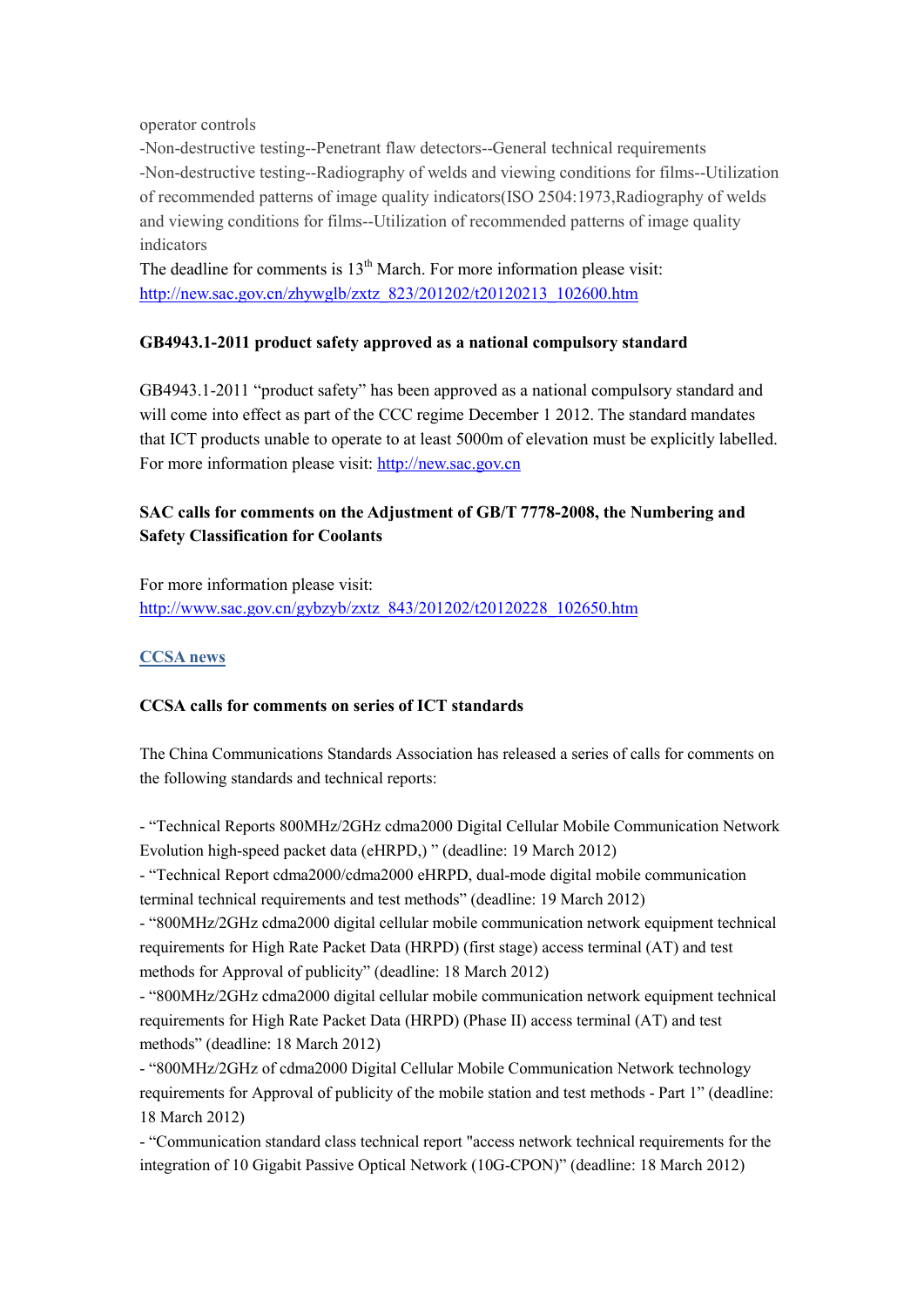operator controls

-Non-destructive testing--Penetrant flaw detectors--General technical requirements -Non-destructive testing--Radiography of welds and viewing conditions for films--Utilization of recommended patterns of image quality indicators(ISO 2504:1973,Radiography of welds and viewing conditions for films--Utilization of recommended patterns of image quality indicators

The deadline for comments is  $13<sup>th</sup>$  March. For more information please visit: [http://new.sac.gov.cn/zhywglb/zxtz\\_823/201202/t20120213\\_102600.htm](http://new.sac.gov.cn/zhywglb/zxtz_823/201202/t20120213_102600.htm)

### **GB4943.1-2011 product safety approved as a national compulsory standard**

GB4943.1-2011 "product safety" has been approved as a national compulsory standard and will come into effect as part of the CCC regime December 1 2012. The standard mandates that ICT products unable to operate to at least 5000m of elevation must be explicitly labelled. For more information please visit: [http://new.sac.gov.cn](http://new.sac.gov.cn/zhywglb/zxtz_823/201202/t20120210_102593.htm)

# **SAC calls for comments on the Adjustment of GB/T 7778-2008, the Numbering and Safety Classification for Coolants**

For more information please visit: [http://www.sac.gov.cn/gybzyb/zxtz\\_843/201202/t20120228\\_102650.htm](http://www.sac.gov.cn/gybzyb/zxtz_843/201202/t20120228_102650.htm)

### **CCSA news**

### **CCSA calls for comments on series of ICT standards**

The China Communications Standards Association has released a series of calls for comments on the following standards and technical reports:

- "Technical Reports 800MHz/2GHz cdma2000 Digital Cellular Mobile Communication Network Evolution high-speed packet data (eHRPD,) " (deadline: 19 March 2012)

- "Technical Report cdma2000/cdma2000 eHRPD, dual-mode digital mobile communication terminal technical requirements and test methods" (deadline: 19 March 2012)

- "800MHz/2GHz cdma2000 digital cellular mobile communication network equipment technical requirements for High Rate Packet Data (HRPD) (first stage) access terminal (AT) and test methods for Approval of publicity" (deadline: 18 March 2012)

- "800MHz/2GHz cdma2000 digital cellular mobile communication network equipment technical requirements for High Rate Packet Data (HRPD) (Phase II) access terminal (AT) and test methods" (deadline: 18 March 2012)

- "800MHz/2GHz of cdma2000 Digital Cellular Mobile Communication Network technology requirements for Approval of publicity of the mobile station and test methods - Part 1" (deadline: 18 March 2012)

- "Communication standard class technical report "access network technical requirements for the integration of 10 Gigabit Passive Optical Network (10G-CPON)" (deadline: 18 March 2012)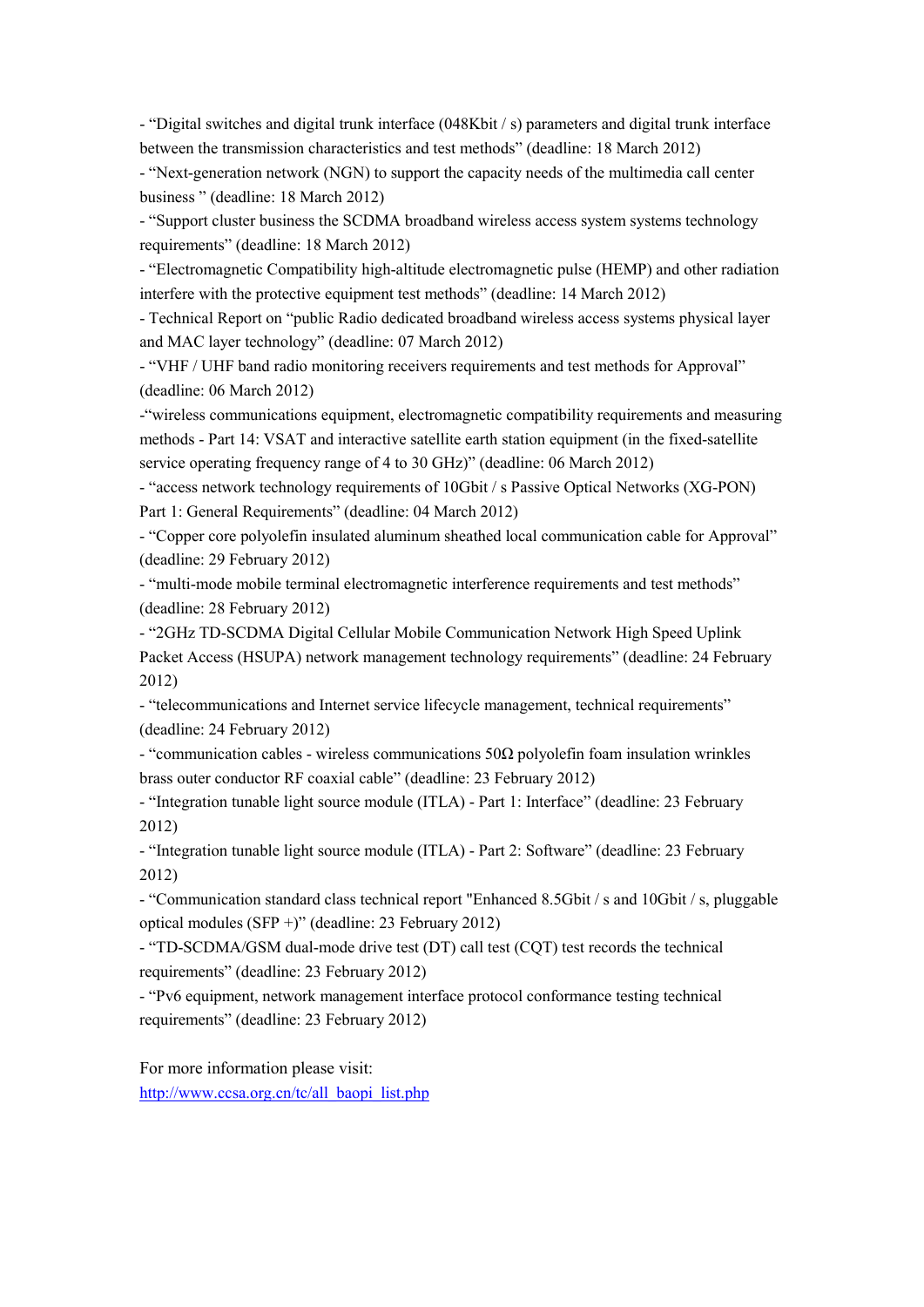- "Digital switches and digital trunk interface (048Kbit / s) parameters and digital trunk interface between the transmission characteristics and test methods" (deadline: 18 March 2012)

- "Next-generation network (NGN) to support the capacity needs of the multimedia call center business " (deadline: 18 March 2012)

- "Support cluster business the SCDMA broadband wireless access system systems technology requirements" (deadline: 18 March 2012)

- "Electromagnetic Compatibility high-altitude electromagnetic pulse (HEMP) and other radiation interfere with the protective equipment test methods" (deadline: 14 March 2012)

- Technical Report on "public Radio dedicated broadband wireless access systems physical layer and MAC layer technology" (deadline: 07 March 2012)

- "VHF / UHF band radio monitoring receivers requirements and test methods for Approval" (deadline: 06 March 2012)

-"wireless communications equipment, electromagnetic compatibility requirements and measuring methods - Part 14: VSAT and interactive satellite earth station equipment (in the fixed-satellite service operating frequency range of 4 to 30 GHz)" (deadline: 06 March 2012)

- "access network technology requirements of 10Gbit / s Passive Optical Networks (XG-PON) Part 1: General Requirements" (deadline: 04 March 2012)

- "Copper core polyolefin insulated aluminum sheathed local communication cable for Approval" (deadline: 29 February 2012)

- "multi-mode mobile terminal electromagnetic interference requirements and test methods" (deadline: 28 February 2012)

- "2GHz TD-SCDMA Digital Cellular Mobile Communication Network High Speed Uplink Packet Access (HSUPA) network management technology requirements" (deadline: 24 February 2012)

- "telecommunications and Internet service lifecycle management, technical requirements" (deadline: 24 February 2012)

- "communication cables - wireless communications 50Ω polyolefin foam insulation wrinkles brass outer conductor RF coaxial cable" (deadline: 23 February 2012)

- "Integration tunable light source module (ITLA) - Part 1: Interface" (deadline: 23 February 2012)

- "Integration tunable light source module (ITLA) - Part 2: Software" (deadline: 23 February 2012)

- "Communication standard class technical report "Enhanced 8.5Gbit / s and 10Gbit / s, pluggable optical modules (SFP +)" (deadline: 23 February 2012)

- "TD-SCDMA/GSM dual-mode drive test (DT) call test (CQT) test records the technical requirements" (deadline: 23 February 2012)

- "Pv6 equipment, network management interface protocol conformance testing technical requirements" (deadline: 23 February 2012)

For more information please visit: [http://www.ccsa.org.cn/tc/all\\_baopi\\_list.php](http://www.ccsa.org.cn/tc/all_baopi_list.php)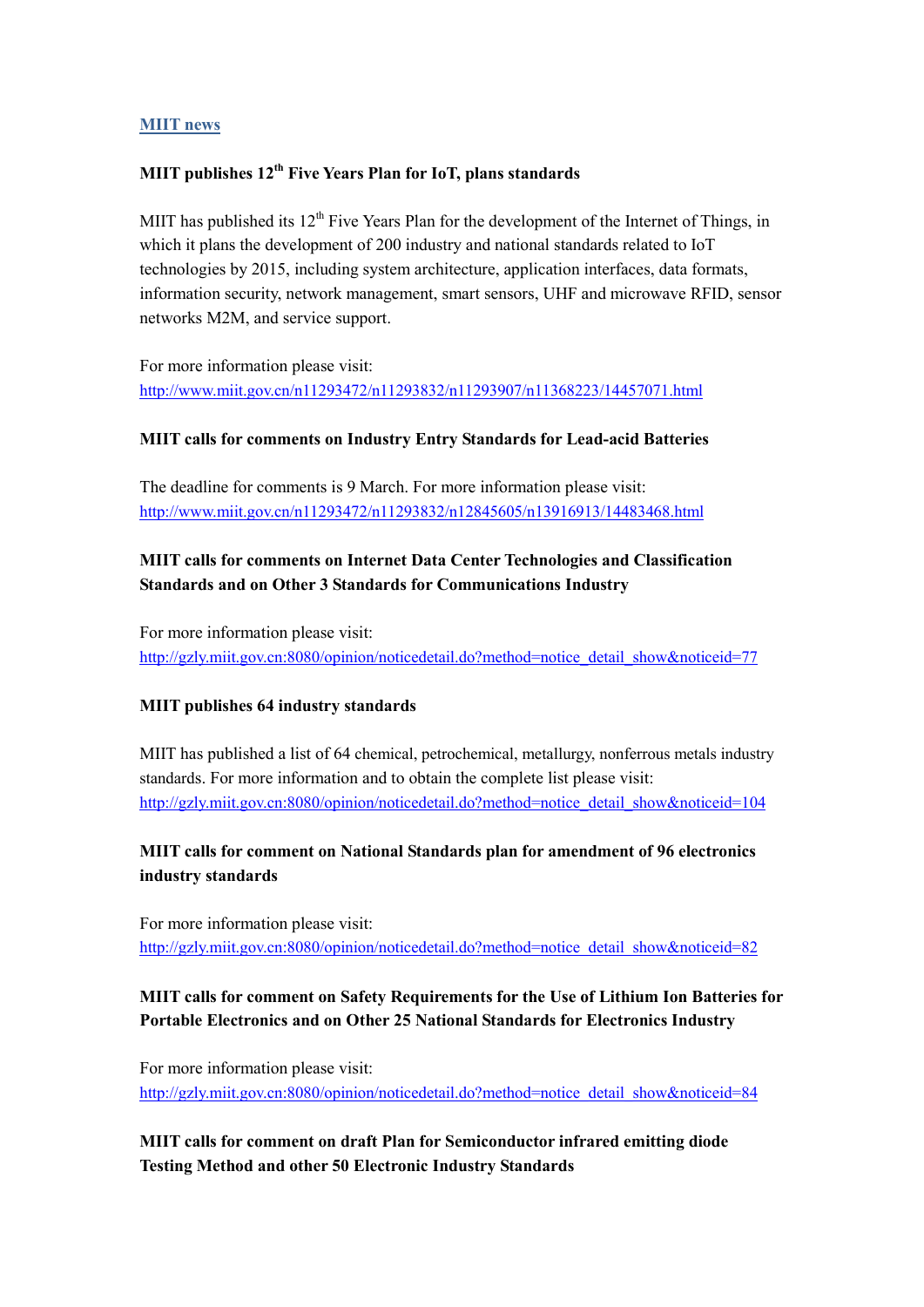#### **MIIT news**

### **MIIT publishes 12th Five Years Plan for IoT, plans standards**

MIIT has published its  $12<sup>th</sup>$  Five Years Plan for the development of the Internet of Things, in which it plans the development of 200 industry and national standards related to IoT technologies by 2015, including system architecture, application interfaces, data formats, information security, network management, smart sensors, UHF and microwave RFID, sensor networks M2M, and service support.

For more information please visit: <http://www.miit.gov.cn/n11293472/n11293832/n11293907/n11368223/14457071.html>

#### **MIIT calls for comments on Industry Entry Standards for Lead-acid Batteries**

The deadline for comments is 9 March. For more information please visit: <http://www.miit.gov.cn/n11293472/n11293832/n12845605/n13916913/14483468.html>

# **MIIT calls for comments on Internet Data Center Technologies and Classification Standards and on Other 3 Standards for Communications Industry**

For more information please visit: [http://gzly.miit.gov.cn:8080/opinion/noticedetail.do?method=notice\\_detail\\_show&noticeid=77](http://gzly.miit.gov.cn:8080/opinion/noticedetail.do?method=notice_detail_show¬iceid=77)

### **MIIT publishes 64 industry standards**

MIIT has published a list of 64 chemical, petrochemical, metallurgy, nonferrous metals industry standards. For more information and to obtain the complete list please visit: [http://gzly.miit.gov.cn:8080/opinion/noticedetail.do?method=notice\\_detail\\_show&noticeid=104](http://gzly.miit.gov.cn:8080/opinion/noticedetail.do?method=notice_detail_show¬iceid=104)

## **MIIT calls for comment on National Standards plan for amendment of 96 electronics industry standards**

For more information please visit: [http://gzly.miit.gov.cn:8080/opinion/noticedetail.do?method=notice\\_detail\\_show&noticeid=82](http://gzly.miit.gov.cn:8080/opinion/noticedetail.do?method=notice_detail_show¬iceid=82)

## **MIIT calls for comment on Safety Requirements for the Use of Lithium Ion Batteries for Portable Electronics and on Other 25 National Standards for Electronics Industry**

For more information please visit: [http://gzly.miit.gov.cn:8080/opinion/noticedetail.do?method=notice\\_detail\\_show&noticeid=84](http://gzly.miit.gov.cn:8080/opinion/noticedetail.do?method=notice_detail_show¬iceid=84)

**MIIT calls for comment on draft Plan for Semiconductor infrared emitting diode Testing Method and other 50 Electronic Industry Standards**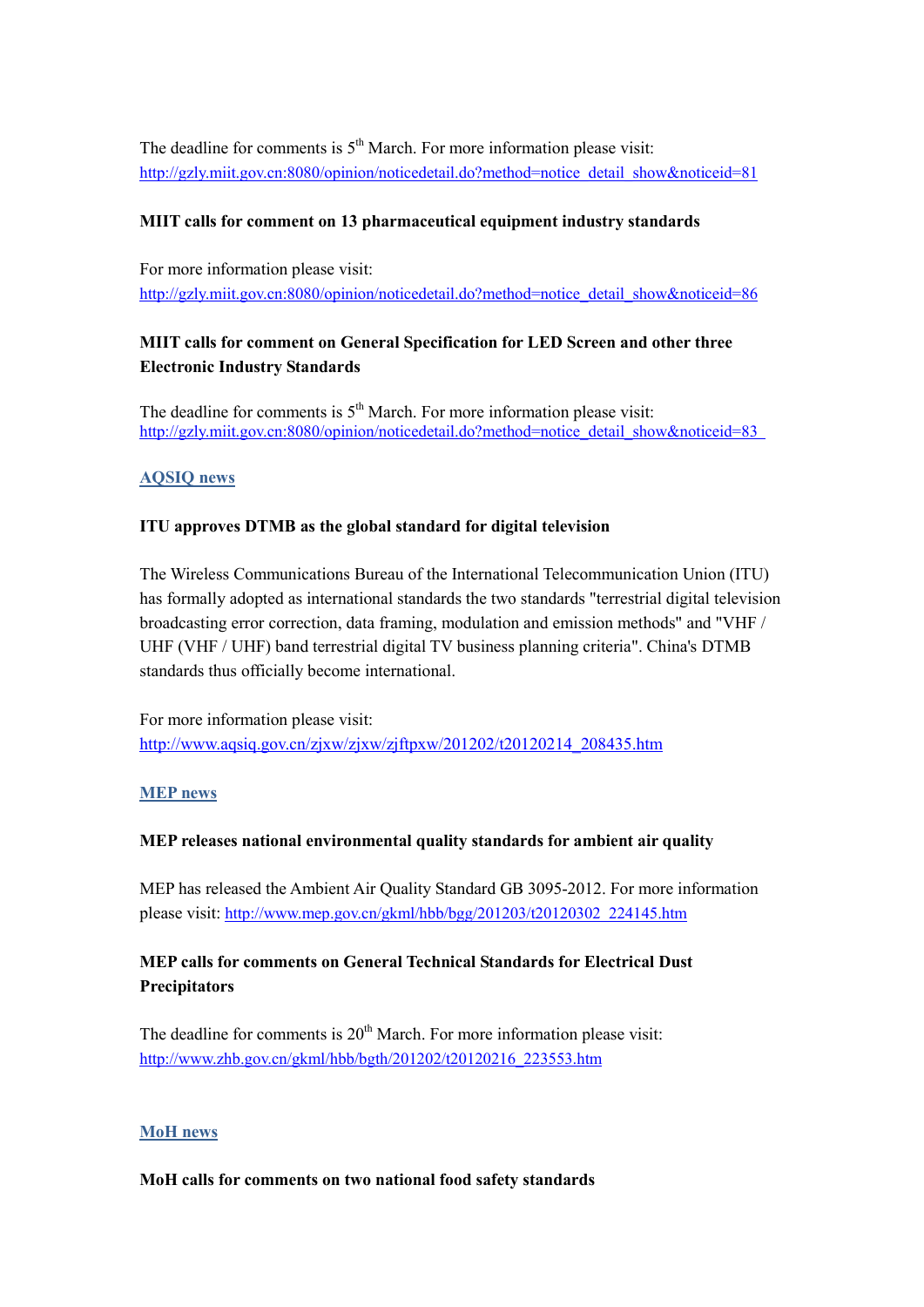The deadline for comments is  $5<sup>th</sup>$  March. For more information please visit: [http://gzly.miit.gov.cn:8080/opinion/noticedetail.do?method=notice\\_detail\\_show&noticeid=81](http://gzly.miit.gov.cn:8080/opinion/noticedetail.do?method=notice_detail_show¬iceid=81)

### **MIIT calls for comment on 13 pharmaceutical equipment industry standards**

For more information please visit: [http://gzly.miit.gov.cn:8080/opinion/noticedetail.do?method=notice\\_detail\\_show&noticeid=86](http://gzly.miit.gov.cn:8080/opinion/noticedetail.do?method=notice_detail_show¬iceid=86)

# **MIIT calls for comment on General Specification for LED Screen and other three Electronic Industry Standards**

The deadline for comments is  $5<sup>th</sup>$  March. For more information please visit: [http://gzly.miit.gov.cn:8080/opinion/noticedetail.do?method=notice\\_detail\\_show&noticeid=83](http://gzly.miit.gov.cn:8080/opinion/noticedetail.do?method=notice_detail_show¬iceid=83)

### **AQSIQ news**

### **ITU approves DTMB as the global standard for digital television**

The Wireless Communications Bureau of the International Telecommunication Union (ITU) has formally adopted as international standards the two standards "terrestrial digital television broadcasting error correction, data framing, modulation and emission methods" and "VHF / UHF (VHF / UHF) band terrestrial digital TV business planning criteria". China's DTMB standards thus officially become international.

For more information please visit: [http://www.aqsiq.gov.cn/zjxw/zjxw/zjftpxw/201202/t20120214\\_208435.htm](http://www.aqsiq.gov.cn/zjxw/zjxw/zjftpxw/201202/t20120214_208435.htm)

### **MEP news**

### **MEP releases national environmental quality standards for ambient air quality**

MEP has released the Ambient Air Quality Standard GB 3095-2012. For more information please visit: [http://www.mep.gov.cn/gkml/hbb/bgg/201203/t20120302\\_224145.htm](http://www.mep.gov.cn/gkml/hbb/bgg/201203/t20120302_224145.htm) 

## **MEP calls for comments on General Technical Standards for Electrical Dust Precipitators**

The deadline for comments is  $20<sup>th</sup>$  March. For more information please visit: [http://www.zhb.gov.cn/gkml/hbb/bgth/201202/t20120216\\_223553.htm](http://www.zhb.gov.cn/gkml/hbb/bgth/201202/t20120216_223553.htm) 

### **MoH news**

#### **MoH calls for comments on two national food safety standards**